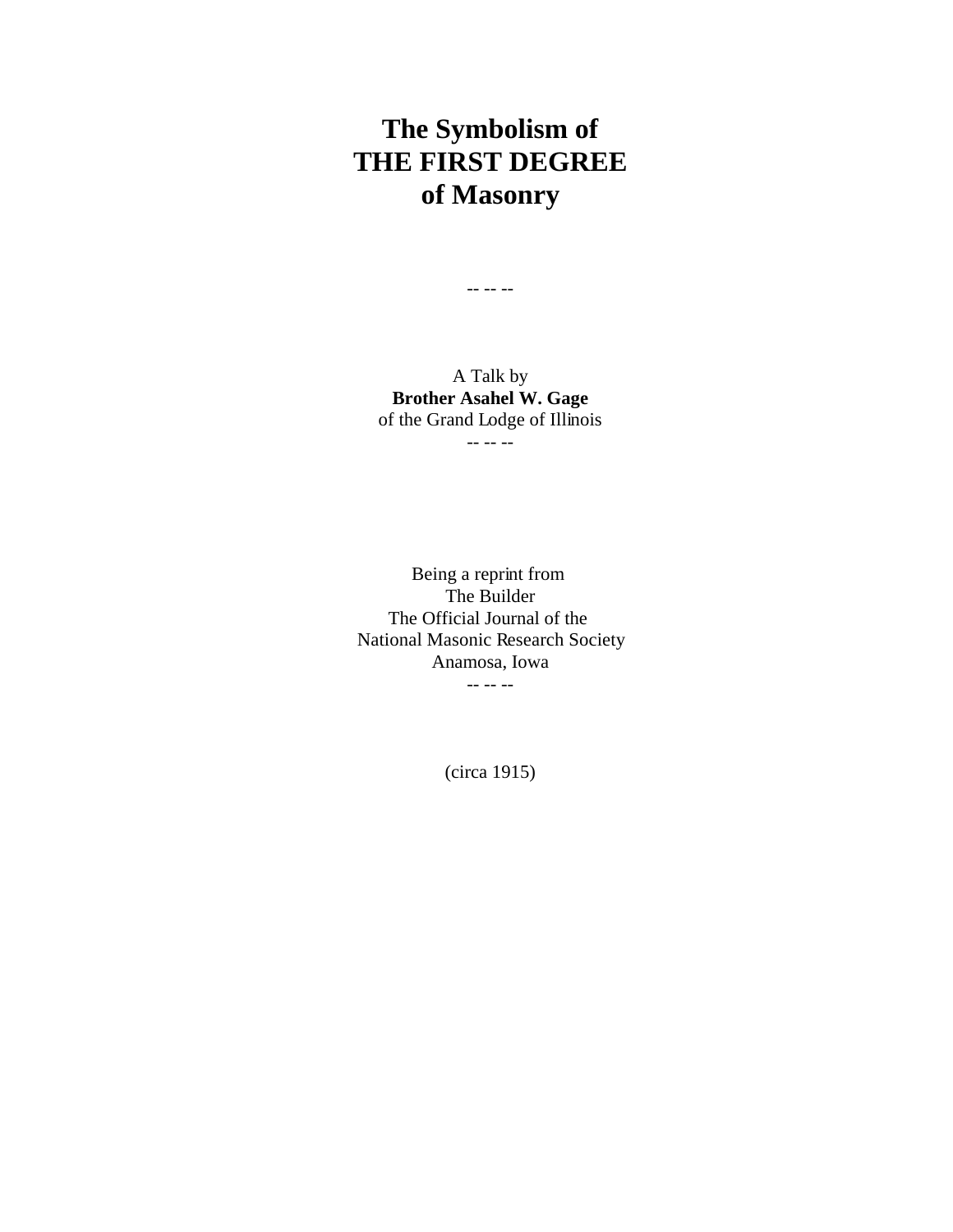## **The Symbolism of THE FIRST DEGREE of Masonry**

A Talk by **Brother Asahel W. Gage** of the Grand Lodge of Illinois -- -- --

-- -- --

Being a reprint from The Builder The Official Journal of the National Masonic Research Society Anamosa, Iowa -- -- --

(circa 1915)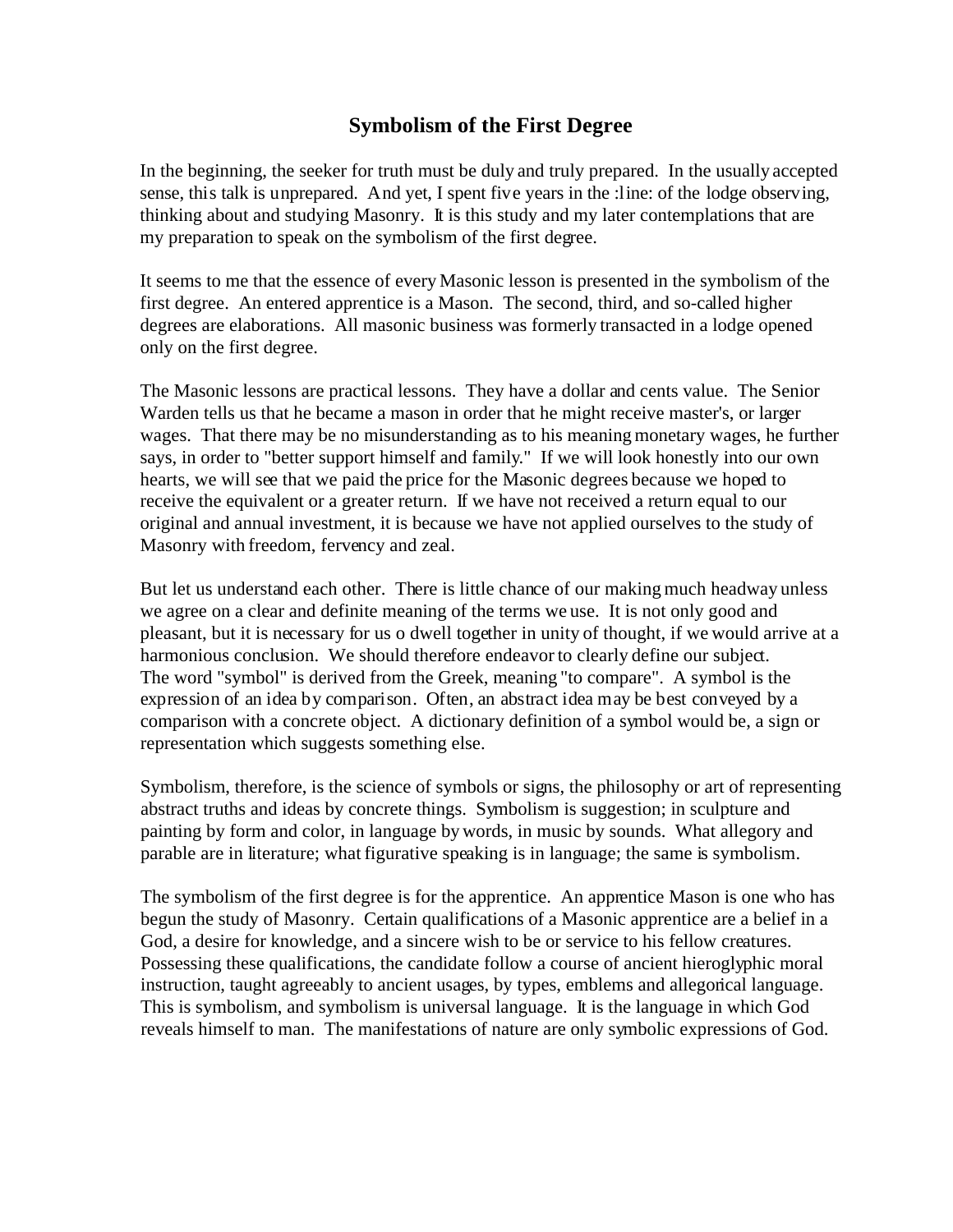## **Symbolism of the First Degree**

In the beginning, the seeker for truth must be duly and truly prepared. In the usually accepted sense, this talk is unprepared. And yet, I spent five years in the :line: of the lodge observing, thinking about and studying Masonry. It is this study and my later contemplations that are my preparation to speak on the symbolism of the first degree.

It seems to me that the essence of every Masonic lesson is presented in the symbolism of the first degree. An entered apprentice is a Mason. The second, third, and so-called higher degrees are elaborations. All masonic business was formerly transacted in a lodge opened only on the first degree.

The Masonic lessons are practical lessons. They have a dollar and cents value. The Senior Warden tells us that he became a mason in order that he might receive master's, or larger wages. That there may be no misunderstanding as to his meaning monetary wages, he further says, in order to "better support himself and family." If we will look honestly into our own hearts, we will see that we paid the price for the Masonic degrees because we hoped to receive the equivalent or a greater return. If we have not received a return equal to our original and annual investment, it is because we have not applied ourselves to the study of Masonry with freedom, fervency and zeal.

But let us understand each other. There is little chance of our making much headway unless we agree on a clear and definite meaning of the terms we use. It is not only good and pleasant, but it is necessary for us o dwell together in unity of thought, if we would arrive at a harmonious conclusion. We should therefore endeavor to clearly define our subject. The word "symbol" is derived from the Greek, meaning "to compare". A symbol is the expression of an idea by comparison. Often, an abstract idea may be best conveyed by a comparison with a concrete object. A dictionary definition of a symbol would be, a sign or representation which suggests something else.

Symbolism, therefore, is the science of symbols or signs, the philosophy or art of representing abstract truths and ideas by concrete things. Symbolism is suggestion; in sculpture and painting by form and color, in language by words, in music by sounds. What allegory and parable are in literature; what figurative speaking is in language; the same is symbolism.

The symbolism of the first degree is for the apprentice. An apprentice Mason is one who has begun the study of Masonry. Certain qualifications of a Masonic apprentice are a belief in a God, a desire for knowledge, and a sincere wish to be or service to his fellow creatures. Possessing these qualifications, the candidate follow a course of ancient hieroglyphic moral instruction, taught agreeably to ancient usages, by types, emblems and allegorical language. This is symbolism, and symbolism is universal language. It is the language in which God reveals himself to man. The manifestations of nature are only symbolic expressions of God.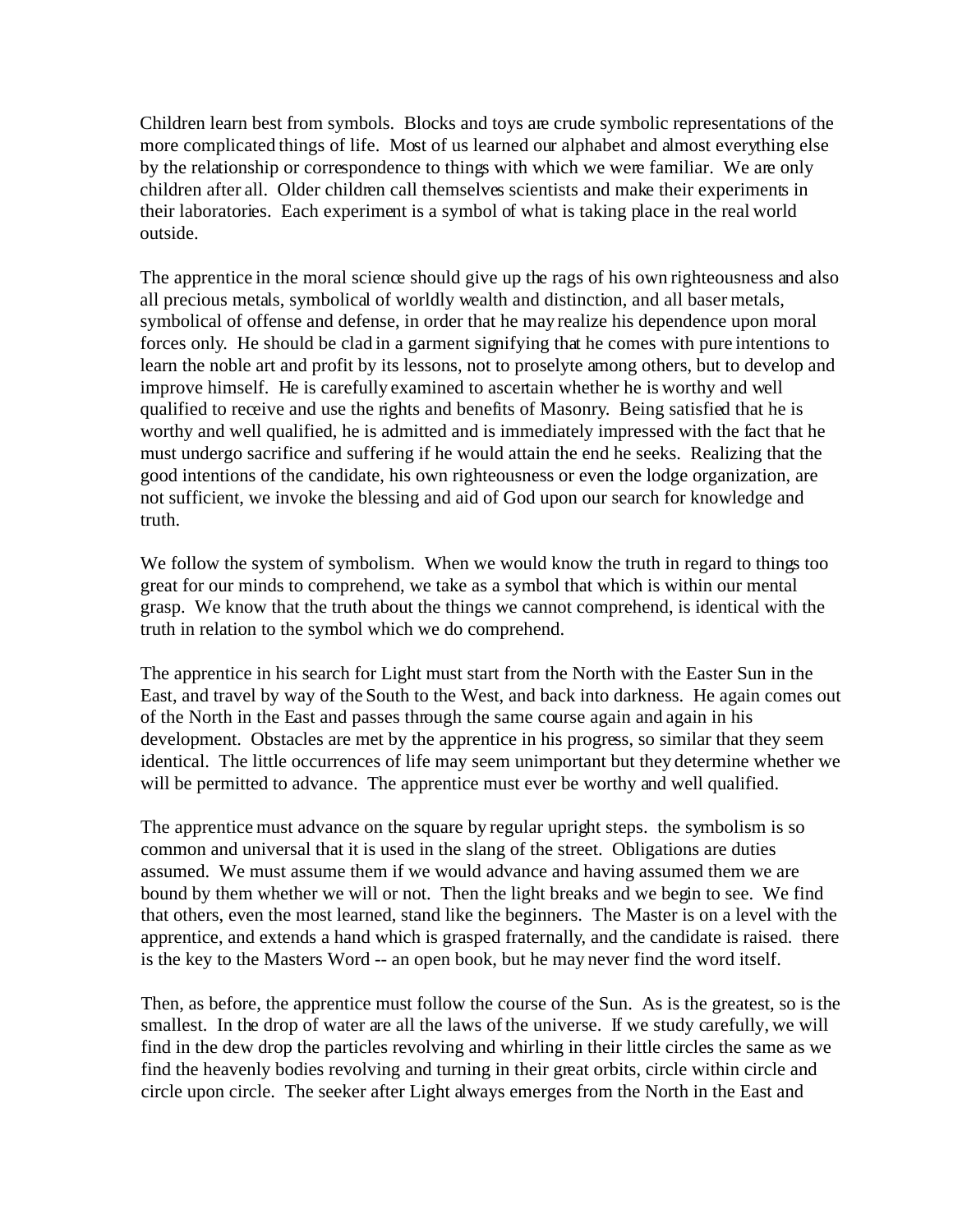Children learn best from symbols. Blocks and toys are crude symbolic representations of the more complicated things of life. Most of us learned our alphabet and almost everything else by the relationship or correspondence to things with which we were familiar. We are only children after all. Older children call themselves scientists and make their experiments in their laboratories. Each experiment is a symbol of what is taking place in the real world outside.

The apprentice in the moral science should give up the rags of his own righteousness and also all precious metals, symbolical of worldly wealth and distinction, and all baser metals, symbolical of offense and defense, in order that he may realize his dependence upon moral forces only. He should be clad in a garment signifying that he comes with pure intentions to learn the noble art and profit by its lessons, not to proselyte among others, but to develop and improve himself. He is carefully examined to ascertain whether he is worthy and well qualified to receive and use the rights and benefits of Masonry. Being satisfied that he is worthy and well qualified, he is admitted and is immediately impressed with the fact that he must undergo sacrifice and suffering if he would attain the end he seeks. Realizing that the good intentions of the candidate, his own righteousness or even the lodge organization, are not sufficient, we invoke the blessing and aid of God upon our search for knowledge and truth.

We follow the system of symbolism. When we would know the truth in regard to things too great for our minds to comprehend, we take as a symbol that which is within our mental grasp. We know that the truth about the things we cannot comprehend, is identical with the truth in relation to the symbol which we do comprehend.

The apprentice in his search for Light must start from the North with the Easter Sun in the East, and travel by way of the South to the West, and back into darkness. He again comes out of the North in the East and passes through the same course again and again in his development. Obstacles are met by the apprentice in his progress, so similar that they seem identical. The little occurrences of life may seem unimportant but they determine whether we will be permitted to advance. The apprentice must ever be worthy and well qualified.

The apprentice must advance on the square by regular upright steps. the symbolism is so common and universal that it is used in the slang of the street. Obligations are duties assumed. We must assume them if we would advance and having assumed them we are bound by them whether we will or not. Then the light breaks and we begin to see. We find that others, even the most learned, stand like the beginners. The Master is on a level with the apprentice, and extends a hand which is grasped fraternally, and the candidate is raised. there is the key to the Masters Word -- an open book, but he may never find the word itself.

Then, as before, the apprentice must follow the course of the Sun. As is the greatest, so is the smallest. In the drop of water are all the laws of the universe. If we study carefully, we will find in the dew drop the particles revolving and whirling in their little circles the same as we find the heavenly bodies revolving and turning in their great orbits, circle within circle and circle upon circle. The seeker after Light always emerges from the North in the East and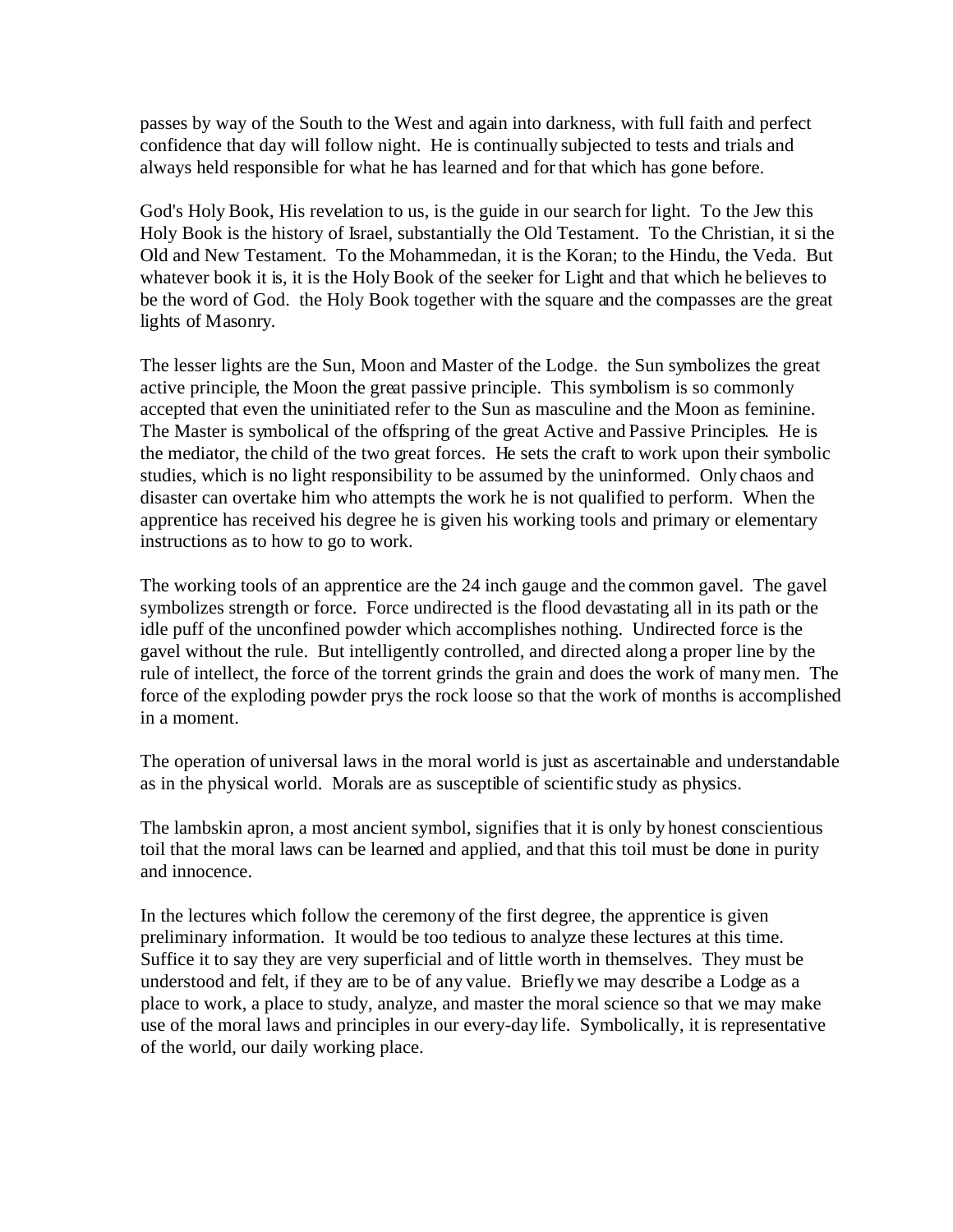passes by way of the South to the West and again into darkness, with full faith and perfect confidence that day will follow night. He is continually subjected to tests and trials and always held responsible for what he has learned and for that which has gone before.

God's Holy Book, His revelation to us, is the guide in our search for light. To the Jew this Holy Book is the history of Israel, substantially the Old Testament. To the Christian, it si the Old and New Testament. To the Mohammedan, it is the Koran; to the Hindu, the Veda. But whatever book it is, it is the Holy Book of the seeker for Light and that which he believes to be the word of God. the Holy Book together with the square and the compasses are the great lights of Masonry.

The lesser lights are the Sun, Moon and Master of the Lodge. the Sun symbolizes the great active principle, the Moon the great passive principle. This symbolism is so commonly accepted that even the uninitiated refer to the Sun as masculine and the Moon as feminine. The Master is symbolical of the offspring of the great Active and Passive Principles. He is the mediator, the child of the two great forces. He sets the craft to work upon their symbolic studies, which is no light responsibility to be assumed by the uninformed. Only chaos and disaster can overtake him who attempts the work he is not qualified to perform. When the apprentice has received his degree he is given his working tools and primary or elementary instructions as to how to go to work.

The working tools of an apprentice are the 24 inch gauge and the common gavel. The gavel symbolizes strength or force. Force undirected is the flood devastating all in its path or the idle puff of the unconfined powder which accomplishes nothing. Undirected force is the gavel without the rule. But intelligently controlled, and directed along a proper line by the rule of intellect, the force of the torrent grinds the grain and does the work of many men. The force of the exploding powder prys the rock loose so that the work of months is accomplished in a moment.

The operation of universal laws in the moral world is just as ascertainable and understandable as in the physical world. Morals are as susceptible of scientific study as physics.

The lambskin apron, a most ancient symbol, signifies that it is only by honest conscientious toil that the moral laws can be learned and applied, and that this toil must be done in purity and innocence.

In the lectures which follow the ceremony of the first degree, the apprentice is given preliminary information. It would be too tedious to analyze these lectures at this time. Suffice it to say they are very superficial and of little worth in themselves. They must be understood and felt, if they are to be of any value. Briefly we may describe a Lodge as a place to work, a place to study, analyze, and master the moral science so that we may make use of the moral laws and principles in our every-day life. Symbolically, it is representative of the world, our daily working place.